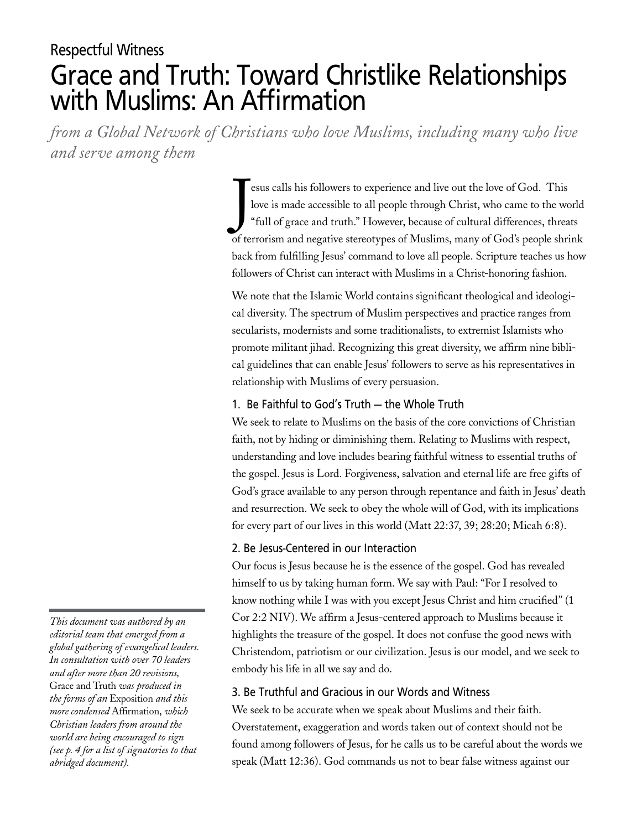# Respectful Witness Grace and Truth: Toward Christlike Relationships with Muslims: An Affirmation

*from a Global Network of Christians who love Muslims, including many who live and serve among them*

> J esus calls his followers to experience and live out the love of God. This love is made accessible to all people through Christ, who came to the world "full of grace and truth." However, because of cultural differences, threats of terrorism and negative stereotypes of Muslims, many of God's people shrink back from fulfilling Jesus' command to love all people. Scripture teaches us how followers of Christ can interact with Muslims in a Christ-honoring fashion.

We note that the Islamic World contains significant theological and ideological diversity. The spectrum of Muslim perspectives and practice ranges from secularists, modernists and some traditionalists, to extremist Islamists who promote militant jihad. Recognizing this great diversity, we affirm nine biblical guidelines that can enable Jesus' followers to serve as his representatives in relationship with Muslims of every persuasion.

## 1. Be Faithful to God's Truth – the Whole Truth

We seek to relate to Muslims on the basis of the core convictions of Christian faith, not by hiding or diminishing them. Relating to Muslims with respect, understanding and love includes bearing faithful witness to essential truths of the gospel. Jesus is Lord. Forgiveness, salvation and eternal life are free gifts of God's grace available to any person through repentance and faith in Jesus' death and resurrection. We seek to obey the whole will of God, with its implications for every part of our lives in this world (Matt 22:37, 39; 28:20; Micah 6:8).

## 2. Be Jesus-Centered in our Interaction

Our focus is Jesus because he is the essence of the gospel. God has revealed himself to us by taking human form. We say with Paul: "For I resolved to know nothing while I was with you except Jesus Christ and him crucified" (1 Cor 2:2 NIV). We affirm a Jesus-centered approach to Muslims because it highlights the treasure of the gospel. It does not confuse the good news with Christendom, patriotism or our civilization. Jesus is our model, and we seek to embody his life in all we say and do.

## 3. Be Truthful and Gracious in our Words and Witness

We seek to be accurate when we speak about Muslims and their faith. Overstatement, exaggeration and words taken out of context should not be found among followers of Jesus, for he calls us to be careful about the words we speak (Matt 12:36). God commands us not to bear false witness against our

*This document was authored by an editorial team that emerged from a global gathering of evangelical leaders. In consultation with over 70 leaders and after more than 20 revisions,*  Grace and Truth *was produced in the forms of an* Exposition *and this more condensed* Affirmation, *which Christian leaders from around the world are being encouraged to sign (see p. 4 for a list of signatories to that abridged document).*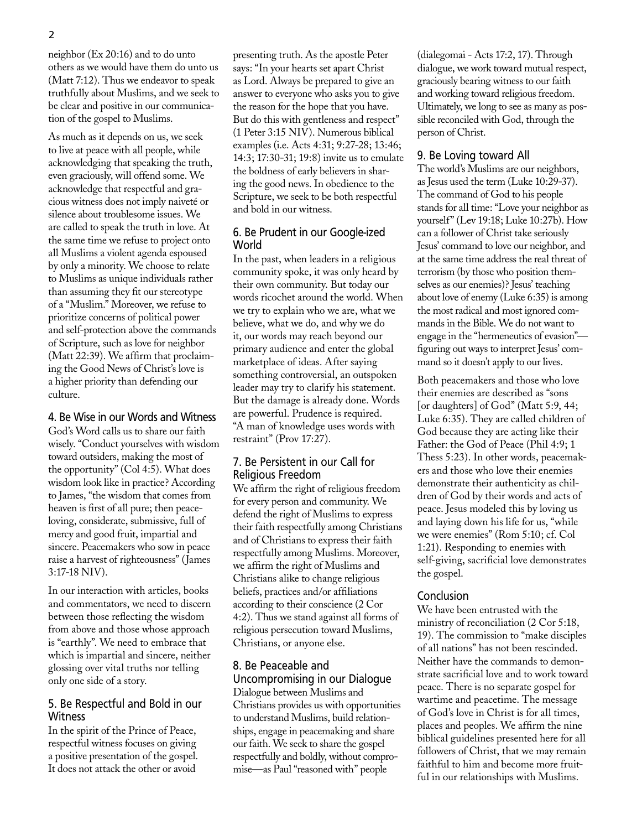neighbor (Ex 20:16) and to do unto others as we would have them do unto us (Matt 7:12). Thus we endeavor to speak truthfully about Muslims, and we seek to be clear and positive in our communication of the gospel to Muslims.

As much as it depends on us, we seek to live at peace with all people, while acknowledging that speaking the truth, even graciously, will offend some. We acknowledge that respectful and gracious witness does not imply naiveté or silence about troublesome issues. We are called to speak the truth in love. At the same time we refuse to project onto all Muslims a violent agenda espoused by only a minority. We choose to relate to Muslims as unique individuals rather than assuming they fit our stereotype of a "Muslim." Moreover, we refuse to prioritize concerns of political power and self-protection above the commands of Scripture, such as love for neighbor (Matt 22:39). We affirm that proclaiming the Good News of Christ's love is a higher priority than defending our culture.

## 4. Be Wise in our Words and Witness

God's Word calls us to share our faith wisely. "Conduct yourselves with wisdom toward outsiders, making the most of the opportunity" (Col 4:5). What does wisdom look like in practice? According to James, "the wisdom that comes from heaven is first of all pure; then peaceloving, considerate, submissive, full of mercy and good fruit, impartial and sincere. Peacemakers who sow in peace raise a harvest of righteousness" (James 3:17-18 NIV).

In our interaction with articles, books and commentators, we need to discern between those reflecting the wisdom from above and those whose approach is "earthly". We need to embrace that which is impartial and sincere, neither glossing over vital truths nor telling only one side of a story.

## 5. Be Respectful and Bold in our **Witness**

In the spirit of the Prince of Peace, respectful witness focuses on giving a positive presentation of the gospel. It does not attack the other or avoid

presenting truth. As the apostle Peter says: "In your hearts set apart Christ as Lord. Always be prepared to give an answer to everyone who asks you to give the reason for the hope that you have. But do this with gentleness and respect" (1 Peter 3:15 NIV). Numerous biblical examples (i.e. Acts 4:31; 9:27-28; 13:46; 14:3; 17:30-31; 19:8) invite us to emulate the boldness of early believers in sharing the good news. In obedience to the Scripture, we seek to be both respectful and bold in our witness.

## 6. Be Prudent in our Google-ized **World**

In the past, when leaders in a religious community spoke, it was only heard by their own community. But today our words ricochet around the world. When we try to explain who we are, what we believe, what we do, and why we do it, our words may reach beyond our primary audience and enter the global marketplace of ideas. After saying something controversial, an outspoken leader may try to clarify his statement. But the damage is already done. Words are powerful. Prudence is required. "A man of knowledge uses words with restraint" (Prov 17:27).

#### 7. Be Persistent in our Call for Religious Freedom

We affirm the right of religious freedom for every person and community. We defend the right of Muslims to express their faith respectfully among Christians and of Christians to express their faith respectfully among Muslims. Moreover, we affirm the right of Muslims and Christians alike to change religious beliefs, practices and/or affiliations according to their conscience (2 Cor 4:2). Thus we stand against all forms of religious persecution toward Muslims, Christians, or anyone else.

# 8. Be Peaceable and

Uncompromising in our Dialogue Dialogue between Muslims and Christians provides us with opportunities to understand Muslims, build relationships, engage in peacemaking and share our faith. We seek to share the gospel respectfully and boldly, without compromise—as Paul "reasoned with" people

(dialegomai - Acts 17:2, 17). Through dialogue, we work toward mutual respect, graciously bearing witness to our faith and working toward religious freedom. Ultimately, we long to see as many as possible reconciled with God, through the person of Christ.

#### 9. Be Loving toward All

The world's Muslims are our neighbors, as Jesus used the term (Luke 10:29-37). The command of God to his people stands for all time: "Love your neighbor as yourself" (Lev 19:18; Luke 10:27b). How can a follower of Christ take seriously Jesus' command to love our neighbor, and at the same time address the real threat of terrorism (by those who position themselves as our enemies)? Jesus' teaching about love of enemy (Luke 6:35) is among the most radical and most ignored commands in the Bible. We do not want to engage in the "hermeneutics of evasion" figuring out ways to interpret Jesus' command so it doesn't apply to our lives.

Both peacemakers and those who love their enemies are described as "sons [or daughters] of God" (Matt 5:9, 44; Luke 6:35). They are called children of God because they are acting like their Father: the God of Peace (Phil 4:9; 1 Thess 5:23). In other words, peacemakers and those who love their enemies demonstrate their authenticity as children of God by their words and acts of peace. Jesus modeled this by loving us and laying down his life for us, "while we were enemies" (Rom 5:10; cf. Col 1:21). Responding to enemies with self-giving, sacrificial love demonstrates the gospel.

#### Conclusion

We have been entrusted with the ministry of reconciliation (2 Cor 5:18, 19). The commission to "make disciples of all nations" has not been rescinded. Neither have the commands to demonstrate sacrificial love and to work toward peace. There is no separate gospel for wartime and peacetime. The message of God's love in Christ is for all times, places and peoples. We affirm the nine biblical guidelines presented here for all followers of Christ, that we may remain faithful to him and become more fruitful in our relationships with Muslims.